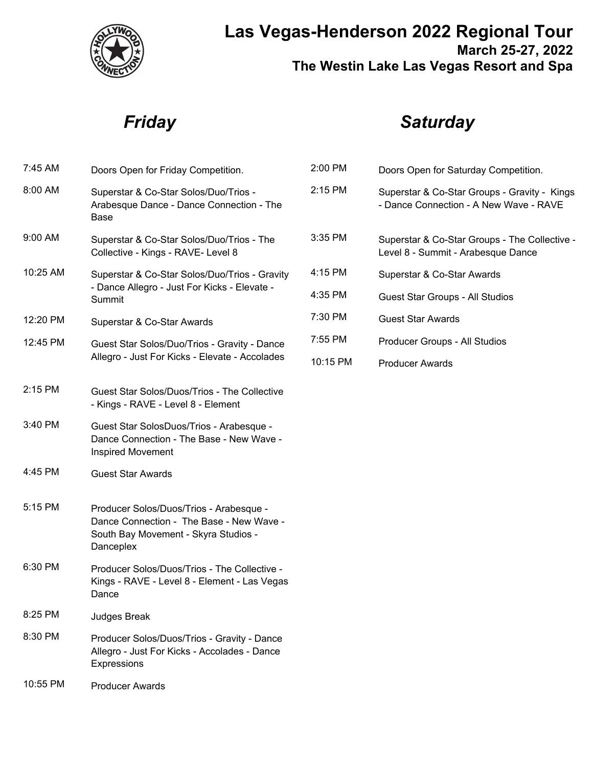

## **Las Vegas-Henderson 2022 Regional Tour March 25-27, 2022 The Westin Lake Las Vegas Resort and Spa**

## *Friday*

# *Saturday*

| 7:45 AM  | Doors Open for Friday Competition.                                                                                                       | 2:00         |
|----------|------------------------------------------------------------------------------------------------------------------------------------------|--------------|
| 8:00 AM  | Superstar & Co-Star Solos/Duo/Trios -<br>Arabesque Dance - Dance Connection - The<br>Base                                                | 2:1!         |
| 9:00 AM  | Superstar & Co-Star Solos/Duo/Trios - The<br>Collective - Kings - RAVE- Level 8                                                          | 3:3!         |
| 10:25 AM | Superstar & Co-Star Solos/Duo/Trios - Gravity<br>- Dance Allegro - Just For Kicks - Elevate -<br>Summit                                  | 4:1!<br>4:3! |
| 12:20 PM | Superstar & Co-Star Awards                                                                                                               | 7:30         |
| 12:45 PM | Guest Star Solos/Duo/Trios - Gravity - Dance                                                                                             | 7:5!         |
|          | Allegro - Just For Kicks - Elevate - Accolades                                                                                           | 10:          |
| 2:15 PM  | Guest Star Solos/Duos/Trios - The Collective<br>- Kings - RAVE - Level 8 - Element                                                       |              |
| 3:40 PM  | Guest Star SolosDuos/Trios - Arabesque -<br>Dance Connection - The Base - New Wave -<br><b>Inspired Movement</b>                         |              |
| 4:45 PM  | <b>Guest Star Awards</b>                                                                                                                 |              |
| 5:15 PM  | Producer Solos/Duos/Trios - Arabesque -<br>Dance Connection - The Base - New Wave -<br>South Bay Movement - Skyra Studios -<br>Danceplex |              |
| 6:30 PM  | Producer Solos/Duos/Trios - The Collective -<br>Kings - RAVE - Level 8 - Element - Las Vegas<br>Dance                                    |              |
| 8:25 PM  | <b>Judges Break</b>                                                                                                                      |              |
| 8:30 PM  | Producer Solos/Duos/Trios - Gravity - Dance<br>Allegro - Just For Kicks - Accolades - Dance<br>Expressions                               |              |
| 10:55 PM | <b>Producer Awards</b>                                                                                                                   |              |

| $2:00$ PM  | Doors Open for Saturday Competition.                                                   |
|------------|----------------------------------------------------------------------------------------|
| $2:15$ PM  | Superstar & Co-Star Groups - Gravity - Kings<br>- Dance Connection - A New Wave - RAVE |
| $3:35$ PM  | Superstar & Co-Star Groups - The Collective -<br>Level 8 - Summit - Arabesque Dance    |
| $4:15$ PM  | Superstar & Co-Star Awards                                                             |
| $4:35$ PM  | Guest Star Groups - All Studios                                                        |
| $7:30$ PM  | Guest Star Awards                                                                      |
| $7:55$ PM  | Producer Groups - All Studios                                                          |
| $10:15$ PM | Producer Awards                                                                        |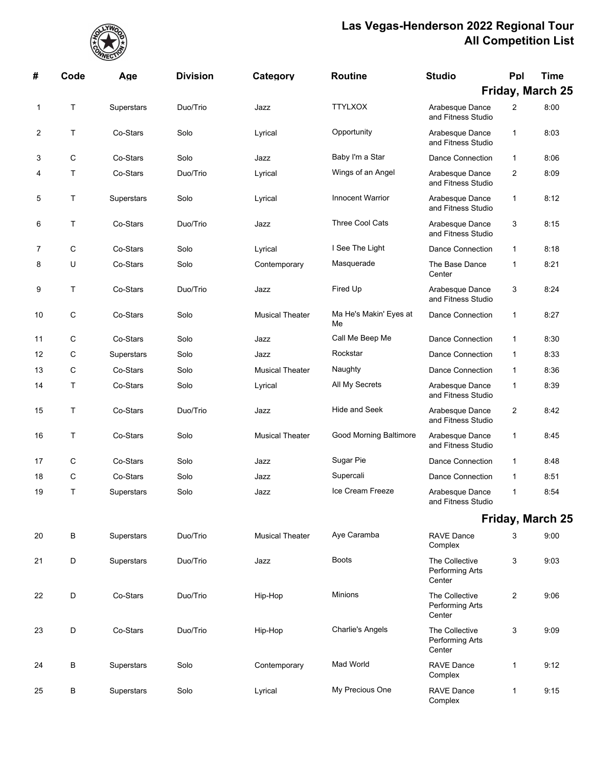

| #  | Code | Age        | <b>Division</b> | Category               | <b>Routine</b>               | <b>Studio</b>                               | Ppl            | <b>Time</b>             |
|----|------|------------|-----------------|------------------------|------------------------------|---------------------------------------------|----------------|-------------------------|
|    |      |            |                 |                        |                              |                                             |                | Friday, March 25        |
| 1  | Τ    | Superstars | Duo/Trio        | Jazz                   | <b>TTYLXOX</b>               | Arabesque Dance<br>and Fitness Studio       | $\overline{2}$ | 8:00                    |
| 2  | Τ    | Co-Stars   | Solo            | Lyrical                | Opportunity                  | Arabesque Dance<br>and Fitness Studio       | $\mathbf{1}$   | 8:03                    |
| 3  | С    | Co-Stars   | Solo            | Jazz                   | Baby I'm a Star              | Dance Connection                            | $\mathbf{1}$   | 8:06                    |
| 4  | Т    | Co-Stars   | Duo/Trio        | Lyrical                | Wings of an Angel            | Arabesque Dance<br>and Fitness Studio       | $\overline{c}$ | 8:09                    |
| 5  | Т    | Superstars | Solo            | Lyrical                | <b>Innocent Warrior</b>      | Arabesque Dance<br>and Fitness Studio       | $\mathbf{1}$   | 8:12                    |
| 6  | Т    | Co-Stars   | Duo/Trio        | Jazz                   | Three Cool Cats              | Arabesque Dance<br>and Fitness Studio       | 3              | 8:15                    |
| 7  | С    | Co-Stars   | Solo            | Lyrical                | I See The Light              | Dance Connection                            | $\mathbf{1}$   | 8:18                    |
| 8  | U    | Co-Stars   | Solo            | Contemporary           | Masquerade                   | The Base Dance<br>Center                    | $\mathbf 1$    | 8:21                    |
| 9  | Τ    | Co-Stars   | Duo/Trio        | Jazz                   | Fired Up                     | Arabesque Dance<br>and Fitness Studio       | 3              | 8:24                    |
| 10 | С    | Co-Stars   | Solo            | <b>Musical Theater</b> | Ma He's Makin' Eyes at<br>Me | Dance Connection                            | $\mathbf{1}$   | 8:27                    |
| 11 | С    | Co-Stars   | Solo            | Jazz                   | Call Me Beep Me              | Dance Connection                            | $\mathbf{1}$   | 8:30                    |
| 12 | С    | Superstars | Solo            | Jazz                   | Rockstar                     | Dance Connection                            | $\mathbf{1}$   | 8:33                    |
| 13 | C    | Co-Stars   | Solo            | <b>Musical Theater</b> | Naughty                      | Dance Connection                            | $\mathbf{1}$   | 8:36                    |
| 14 | Т    | Co-Stars   | Solo            | Lyrical                | All My Secrets               | Arabesque Dance<br>and Fitness Studio       | $\mathbf{1}$   | 8:39                    |
| 15 | Т    | Co-Stars   | Duo/Trio        | Jazz                   | <b>Hide and Seek</b>         | Arabesque Dance<br>and Fitness Studio       | $\overline{c}$ | 8:42                    |
| 16 | Т    | Co-Stars   | Solo            | <b>Musical Theater</b> | Good Morning Baltimore       | Arabesque Dance<br>and Fitness Studio       | $\mathbf{1}$   | 8:45                    |
| 17 | С    | Co-Stars   | Solo            | Jazz                   | Sugar Pie                    | <b>Dance Connection</b>                     | $\mathbf{1}$   | 8:48                    |
| 18 | С    | Co-Stars   | Solo            | Jazz                   | Supercali                    | Dance Connection                            | $\mathbf{1}$   | 8:51                    |
| 19 | Τ    | Superstars | Solo            | Jazz                   | Ice Cream Freeze             | Arabesque Dance<br>and Fitness Studio       | $\mathbf 1$    | 8:54                    |
|    |      |            |                 |                        |                              |                                             |                | <b>Friday, March 25</b> |
| 20 | В    | Superstars | Duo/Trio        | <b>Musical Theater</b> | Aye Caramba                  | <b>RAVE Dance</b><br>Complex                | 3              | 9:00                    |
| 21 | D    | Superstars | Duo/Trio        | Jazz                   | <b>Boots</b>                 | The Collective<br>Performing Arts<br>Center | 3              | 9:03                    |
| 22 | D    | Co-Stars   | Duo/Trio        | Hip-Hop                | Minions                      | The Collective<br>Performing Arts<br>Center | $\overline{2}$ | 9.06                    |
| 23 | D    | Co-Stars   | Duo/Trio        | Hip-Hop                | <b>Charlie's Angels</b>      | The Collective<br>Performing Arts<br>Center | 3              | 9.09                    |
| 24 | В    | Superstars | Solo            | Contemporary           | Mad World                    | <b>RAVE Dance</b><br>Complex                | $\mathbf{1}$   | 9:12                    |
| 25 | В    | Superstars | Solo            | Lyrical                | My Precious One              | <b>RAVE Dance</b><br>Complex                | $\mathbf{1}$   | 9:15                    |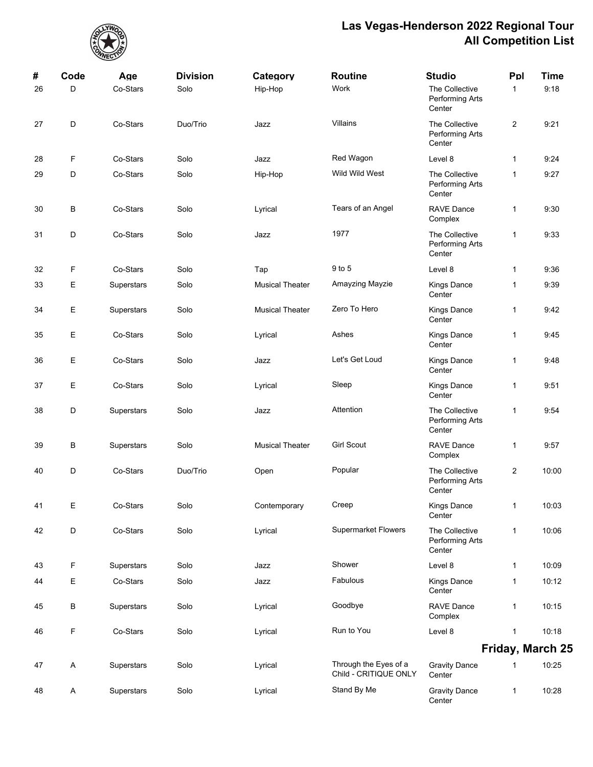

| #  | Code | Age        | <b>Division</b> | Category               | <b>Routine</b>                                 | <b>Studio</b>                               | Ppl            | <b>Time</b>             |
|----|------|------------|-----------------|------------------------|------------------------------------------------|---------------------------------------------|----------------|-------------------------|
| 26 | D    | Co-Stars   | Solo            | Hip-Hop                | Work                                           | The Collective<br>Performing Arts<br>Center | $\mathbf{1}$   | 9:18                    |
| 27 | D    | Co-Stars   | Duo/Trio        | Jazz                   | Villains                                       | The Collective<br>Performing Arts<br>Center | $\overline{2}$ | 9:21                    |
| 28 | F    | Co-Stars   | Solo            | Jazz                   | Red Wagon                                      | Level 8                                     | $\mathbf{1}$   | 9:24                    |
| 29 | D    | Co-Stars   | Solo            | Hip-Hop                | Wild Wild West                                 | The Collective<br>Performing Arts<br>Center | $\mathbf{1}$   | 9:27                    |
| 30 | В    | Co-Stars   | Solo            | Lyrical                | Tears of an Angel                              | <b>RAVE Dance</b><br>Complex                | 1              | 9:30                    |
| 31 | D    | Co-Stars   | Solo            | Jazz                   | 1977                                           | The Collective<br>Performing Arts<br>Center | $\mathbf{1}$   | 9.33                    |
| 32 | F    | Co-Stars   | Solo            | Tap                    | 9 to 5                                         | Level 8                                     | $\mathbf{1}$   | 9:36                    |
| 33 | Е    | Superstars | Solo            | <b>Musical Theater</b> | Amayzing Mayzie                                | Kings Dance<br>Center                       | 1              | 9:39                    |
| 34 | Е    | Superstars | Solo            | <b>Musical Theater</b> | Zero To Hero                                   | <b>Kings Dance</b><br>Center                | $\mathbf{1}$   | 9:42                    |
| 35 | Е    | Co-Stars   | Solo            | Lyrical                | Ashes                                          | <b>Kings Dance</b><br>Center                | 1              | 9:45                    |
| 36 | Е    | Co-Stars   | Solo            | Jazz                   | Let's Get Loud                                 | Kings Dance<br>Center                       | 1              | 9:48                    |
| 37 | Е    | Co-Stars   | Solo            | Lyrical                | Sleep                                          | Kings Dance<br>Center                       | $\mathbf{1}$   | 9:51                    |
| 38 | D    | Superstars | Solo            | Jazz                   | Attention                                      | The Collective<br>Performing Arts<br>Center | 1              | 9:54                    |
| 39 | В    | Superstars | Solo            | <b>Musical Theater</b> | <b>Girl Scout</b>                              | <b>RAVE Dance</b><br>Complex                | 1              | 9:57                    |
| 40 | D    | Co-Stars   | Duo/Trio        | Open                   | Popular                                        | The Collective<br>Performing Arts<br>Center | $\overline{c}$ | 10:00                   |
| 41 | Ε    | Co-Stars   | Solo            | Contemporary           | Creep                                          | Kings Dance<br>Center                       | $\mathbf{1}$   | 10:03                   |
| 42 | D    | Co-Stars   | Solo            | Lyrical                | <b>Supermarket Flowers</b>                     | The Collective<br>Performing Arts<br>Center | $\mathbf{1}$   | 10:06                   |
| 43 | F    | Superstars | Solo            | Jazz                   | Shower                                         | Level 8                                     | $\mathbf{1}$   | 10:09                   |
| 44 | Е    | Co-Stars   | Solo            | Jazz                   | Fabulous                                       | <b>Kings Dance</b><br>Center                | 1              | 10:12                   |
| 45 | В    | Superstars | Solo            | Lyrical                | Goodbye                                        | <b>RAVE Dance</b><br>Complex                | 1              | 10:15                   |
| 46 | F    | Co-Stars   | Solo            | Lyrical                | Run to You                                     | Level 8                                     | 1              | 10:18                   |
|    |      |            |                 |                        |                                                |                                             |                | <b>Friday, March 25</b> |
| 47 | A    | Superstars | Solo            | Lyrical                | Through the Eyes of a<br>Child - CRITIQUE ONLY | <b>Gravity Dance</b><br>Center              | 1              | 10:25                   |
| 48 | A    | Superstars | Solo            | Lyrical                | Stand By Me                                    | <b>Gravity Dance</b><br>Center              | 1              | 10:28                   |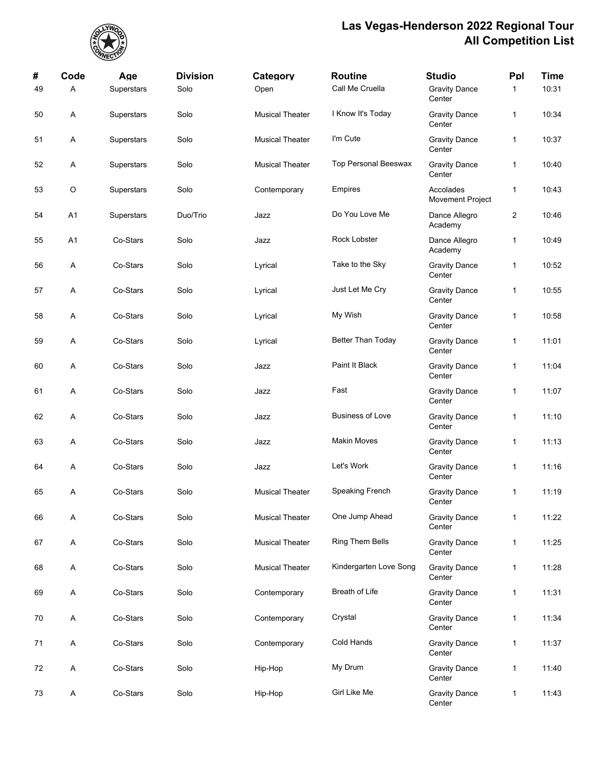

| #  | Code    | Age        | <b>Division</b> | Category               | <b>Routine</b>          | <b>Studio</b>                  | Ppl          | <b>Time</b> |
|----|---------|------------|-----------------|------------------------|-------------------------|--------------------------------|--------------|-------------|
| 49 | Α       | Superstars | Solo            | Open                   | Call Me Cruella         | <b>Gravity Dance</b><br>Center | $\mathbf{1}$ | 10:31       |
| 50 | A       | Superstars | Solo            | <b>Musical Theater</b> | I Know It's Today       | <b>Gravity Dance</b><br>Center | $\mathbf{1}$ | 10:34       |
| 51 | A       | Superstars | Solo            | <b>Musical Theater</b> | I'm Cute                | <b>Gravity Dance</b><br>Center | $\mathbf{1}$ | 10:37       |
| 52 | A       | Superstars | Solo            | <b>Musical Theater</b> | Top Personal Beeswax    | <b>Gravity Dance</b><br>Center | $\mathbf{1}$ | 10:40       |
| 53 | $\circ$ | Superstars | Solo            | Contemporary           | Empires                 | Accolades<br>Movement Project  | $\mathbf{1}$ | 10:43       |
| 54 | A1      | Superstars | Duo/Trio        | Jazz                   | Do You Love Me          | Dance Allegro<br>Academy       | 2            | 10:46       |
| 55 | A1      | Co-Stars   | Solo            | Jazz                   | Rock Lobster            | Dance Allegro<br>Academy       | 1            | 10:49       |
| 56 | A       | Co-Stars   | Solo            | Lyrical                | Take to the Sky         | <b>Gravity Dance</b><br>Center | $\mathbf{1}$ | 10:52       |
| 57 | A       | Co-Stars   | Solo            | Lyrical                | Just Let Me Cry         | <b>Gravity Dance</b><br>Center | $\mathbf{1}$ | 10:55       |
| 58 | Α       | Co-Stars   | Solo            | Lyrical                | My Wish                 | <b>Gravity Dance</b><br>Center | $\mathbf{1}$ | 10:58       |
| 59 | Α       | Co-Stars   | Solo            | Lyrical                | Better Than Today       | <b>Gravity Dance</b><br>Center | $\mathbf{1}$ | 11:01       |
| 60 | A       | Co-Stars   | Solo            | Jazz                   | Paint It Black          | <b>Gravity Dance</b><br>Center | $\mathbf{1}$ | 11:04       |
| 61 | Α       | Co-Stars   | Solo            | Jazz                   | Fast                    | <b>Gravity Dance</b><br>Center | $\mathbf{1}$ | 11:07       |
| 62 | Α       | Co-Stars   | Solo            | Jazz                   | <b>Business of Love</b> | <b>Gravity Dance</b><br>Center | $\mathbf{1}$ | 11:10       |
| 63 | A       | Co-Stars   | Solo            | Jazz                   | <b>Makin Moves</b>      | <b>Gravity Dance</b><br>Center | $\mathbf{1}$ | 11:13       |
| 64 | Α       | Co-Stars   | Solo            | Jazz                   | Let's Work              | <b>Gravity Dance</b><br>Center | $\mathbf{1}$ | 11:16       |
| 65 | Α       | Co-Stars   | Solo            | <b>Musical Theater</b> | Speaking French         | <b>Gravity Dance</b><br>Center | $\mathbf{1}$ | 11:19       |
| 66 | Α       | Co-Stars   | Solo            | <b>Musical Theater</b> | One Jump Ahead          | <b>Gravity Dance</b><br>Center | $\mathbf{1}$ | 11:22       |
| 67 | A       | Co-Stars   | Solo            | <b>Musical Theater</b> | Ring Them Bells         | <b>Gravity Dance</b><br>Center | $\mathbf{1}$ | 11:25       |
| 68 | A       | Co-Stars   | Solo            | <b>Musical Theater</b> | Kindergarten Love Song  | <b>Gravity Dance</b><br>Center | $\mathbf{1}$ | 11:28       |
| 69 | Α       | Co-Stars   | Solo            | Contemporary           | Breath of Life          | <b>Gravity Dance</b><br>Center | $\mathbf{1}$ | 11:31       |
| 70 | A       | Co-Stars   | Solo            | Contemporary           | Crystal                 | <b>Gravity Dance</b><br>Center | $\mathbf{1}$ | 11:34       |
| 71 | A       | Co-Stars   | Solo            | Contemporary           | Cold Hands              | <b>Gravity Dance</b><br>Center | $\mathbf{1}$ | 11:37       |
| 72 | A       | Co-Stars   | Solo            | Hip-Hop                | My Drum                 | <b>Gravity Dance</b><br>Center | $\mathbf{1}$ | 11:40       |
| 73 | Α       | Co-Stars   | Solo            | Hip-Hop                | Girl Like Me            | <b>Gravity Dance</b><br>Center | $\mathbf{1}$ | 11:43       |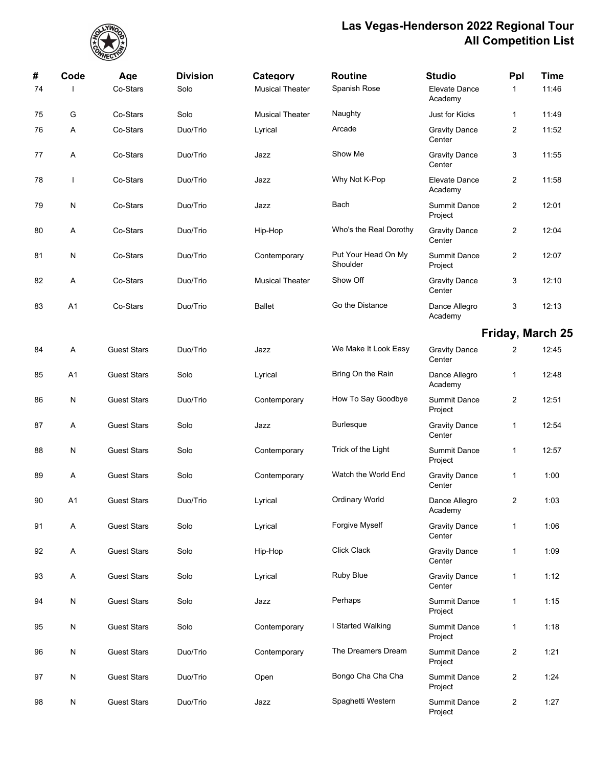

| #<br>74 | Code           | Age<br>Co-Stars    | <b>Division</b><br>Solo | Category<br><b>Musical Theater</b> | <b>Routine</b><br>Spanish Rose  | <b>Studio</b><br>Elevate Dance | Ppl<br>1                | Time<br>11:46 |
|---------|----------------|--------------------|-------------------------|------------------------------------|---------------------------------|--------------------------------|-------------------------|---------------|
|         |                |                    |                         |                                    |                                 | Academy                        |                         |               |
| 75      | G              | Co-Stars           | Solo                    | <b>Musical Theater</b>             | Naughty                         | Just for Kicks                 | 1                       | 11:49         |
| 76      | Α              | Co-Stars           | Duo/Trio                | Lyrical                            | Arcade                          | <b>Gravity Dance</b><br>Center | 2                       | 11:52         |
| 77      | Α              | Co-Stars           | Duo/Trio                | Jazz                               | Show Me                         | <b>Gravity Dance</b><br>Center | 3                       | 11:55         |
| 78      |                | Co-Stars           | Duo/Trio                | Jazz                               | Why Not K-Pop                   | Elevate Dance<br>Academy       | $\overline{2}$          | 11:58         |
| 79      | N              | Co-Stars           | Duo/Trio                | Jazz                               | Bach                            | <b>Summit Dance</b><br>Project | 2                       | 12:01         |
| 80      | A              | Co-Stars           | Duo/Trio                | Hip-Hop                            | Who's the Real Dorothy          | <b>Gravity Dance</b><br>Center | $\overline{c}$          | 12:04         |
| 81      | N              | Co-Stars           | Duo/Trio                | Contemporary                       | Put Your Head On My<br>Shoulder | <b>Summit Dance</b><br>Project | $\overline{2}$          | 12:07         |
| 82      | Α              | Co-Stars           | Duo/Trio                | <b>Musical Theater</b>             | Show Off                        | <b>Gravity Dance</b><br>Center | 3                       | 12:10         |
| 83      | A <sub>1</sub> | Co-Stars           | Duo/Trio                | <b>Ballet</b>                      | Go the Distance                 | Dance Allegro<br>Academy       | 3                       | 12:13         |
|         |                |                    |                         |                                    |                                 |                                | Friday, March 25        |               |
| 84      | Α              | <b>Guest Stars</b> | Duo/Trio                | Jazz                               | We Make It Look Easy            | <b>Gravity Dance</b><br>Center | $\overline{2}$          | 12:45         |
| 85      | A1             | <b>Guest Stars</b> | Solo                    | Lyrical                            | Bring On the Rain               | Dance Allegro<br>Academy       | 1                       | 12:48         |
| 86      | N              | <b>Guest Stars</b> | Duo/Trio                | Contemporary                       | How To Say Goodbye              | <b>Summit Dance</b><br>Project | 2                       | 12:51         |
| 87      | A              | <b>Guest Stars</b> | Solo                    | Jazz                               | <b>Burlesque</b>                | <b>Gravity Dance</b><br>Center | 1                       | 12:54         |
| 88      | N              | <b>Guest Stars</b> | Solo                    | Contemporary                       | Trick of the Light              | <b>Summit Dance</b><br>Project | 1                       | 12:57         |
| 89      | Α              | <b>Guest Stars</b> | Solo                    | Contemporary                       | Watch the World End             | <b>Gravity Dance</b><br>Center | $\mathbf{1}$            | 1:00          |
| $90\,$  | A1             | <b>Guest Stars</b> | Duo/Trio                | Lyrical                            | Ordinary World                  | Dance Allegro<br>Academy       | $\overline{a}$          | 1:03          |
| 91      | A              | <b>Guest Stars</b> | Solo                    | Lyrical                            | Forgive Myself                  | <b>Gravity Dance</b><br>Center | 1                       | 1:06          |
| 92      | A              | <b>Guest Stars</b> | Solo                    | Hip-Hop                            | Click Clack                     | <b>Gravity Dance</b><br>Center | 1                       | 1:09          |
| 93      | A              | <b>Guest Stars</b> | Solo                    | Lyrical                            | Ruby Blue                       | <b>Gravity Dance</b><br>Center | $\mathbf{1}$            | 1:12          |
| 94      | N              | <b>Guest Stars</b> | Solo                    | Jazz                               | Perhaps                         | <b>Summit Dance</b><br>Project | 1                       | 1:15          |
| 95      | N              | <b>Guest Stars</b> | Solo                    | Contemporary                       | I Started Walking               | <b>Summit Dance</b><br>Project | 1                       | 1:18          |
| 96      | N              | <b>Guest Stars</b> | Duo/Trio                | Contemporary                       | The Dreamers Dream              | <b>Summit Dance</b><br>Project | $\overline{\mathbf{c}}$ | 1:21          |
| 97      | N              | <b>Guest Stars</b> | Duo/Trio                | Open                               | Bongo Cha Cha Cha               | <b>Summit Dance</b><br>Project | 2                       | 1:24          |
| 98      | N              | <b>Guest Stars</b> | Duo/Trio                | Jazz                               | Spaghetti Western               | Summit Dance<br>Project        | $\overline{2}$          | 1:27          |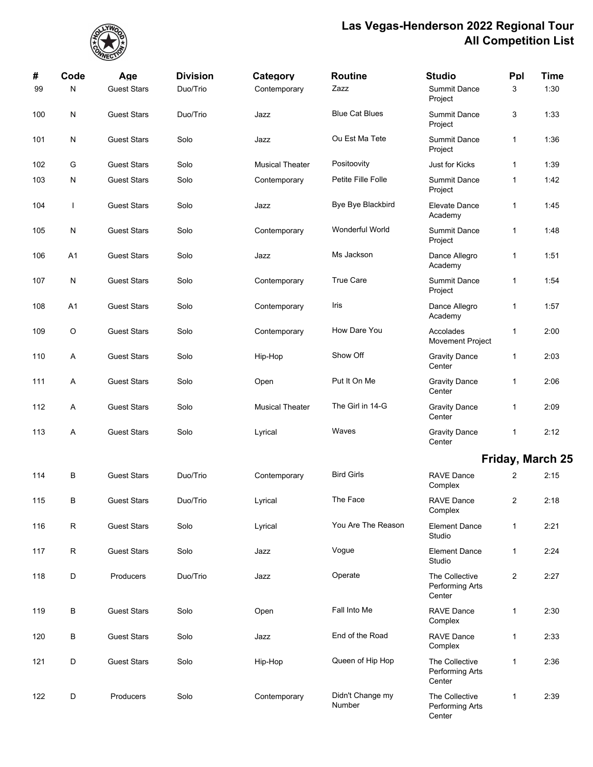

| #   | Code           | Age                | <b>Division</b> | Category               | <b>Routine</b>             | <b>Studio</b>                               | Ppl            | <b>Time</b>      |
|-----|----------------|--------------------|-----------------|------------------------|----------------------------|---------------------------------------------|----------------|------------------|
| 99  | N              | <b>Guest Stars</b> | Duo/Trio        | Contemporary           | Zazz                       | <b>Summit Dance</b><br>Project              | 3              | 1:30             |
| 100 | ${\sf N}$      | <b>Guest Stars</b> | Duo/Trio        | Jazz                   | <b>Blue Cat Blues</b>      | <b>Summit Dance</b><br>Project              | 3              | 1:33             |
| 101 | N              | <b>Guest Stars</b> | Solo            | Jazz                   | Ou Est Ma Tete             | <b>Summit Dance</b><br>Project              | 1              | 1:36             |
| 102 | G              | <b>Guest Stars</b> | Solo            | <b>Musical Theater</b> | Positoovity                | Just for Kicks                              | 1              | 1:39             |
| 103 | N              | <b>Guest Stars</b> | Solo            | Contemporary           | Petite Fille Folle         | <b>Summit Dance</b><br>Project              | 1              | 1:42             |
| 104 | $\mathbf{I}$   | <b>Guest Stars</b> | Solo            | Jazz                   | Bye Bye Blackbird          | Elevate Dance<br>Academy                    | 1              | 1:45             |
| 105 | ${\sf N}$      | <b>Guest Stars</b> | Solo            | Contemporary           | Wonderful World            | <b>Summit Dance</b><br>Project              | 1              | 1:48             |
| 106 | A1             | <b>Guest Stars</b> | Solo            | Jazz                   | Ms Jackson                 | Dance Allegro<br>Academy                    | 1              | 1:51             |
| 107 | N              | <b>Guest Stars</b> | Solo            | Contemporary           | <b>True Care</b>           | <b>Summit Dance</b><br>Project              | 1              | 1:54             |
| 108 | A <sub>1</sub> | <b>Guest Stars</b> | Solo            | Contemporary           | Iris                       | Dance Allegro<br>Academy                    | 1              | 1:57             |
| 109 | O              | <b>Guest Stars</b> | Solo            | Contemporary           | How Dare You               | Accolades<br>Movement Project               | 1              | 2:00             |
| 110 | Α              | <b>Guest Stars</b> | Solo            | Hip-Hop                | Show Off                   | <b>Gravity Dance</b><br>Center              | 1              | 2:03             |
| 111 | A              | <b>Guest Stars</b> | Solo            | Open                   | Put It On Me               | <b>Gravity Dance</b><br>Center              | 1              | 2:06             |
| 112 | Α              | <b>Guest Stars</b> | Solo            | <b>Musical Theater</b> | The Girl in 14-G           | <b>Gravity Dance</b><br>Center              | 1              | 2:09             |
| 113 | Α              | <b>Guest Stars</b> | Solo            | Lyrical                | Waves                      | <b>Gravity Dance</b><br>Center              | 1              | 2:12             |
|     |                |                    |                 |                        |                            |                                             |                | Friday, March 25 |
| 114 | В              | <b>Guest Stars</b> | Duo/Trio        | Contemporary           | <b>Bird Girls</b>          | <b>RAVE Dance</b><br>Complex                | $\overline{2}$ | 2:15             |
| 115 | В              | <b>Guest Stars</b> | Duo/Trio        | Lyrical                | The Face                   | RAVE Dance<br>Complex                       | $2^{\circ}$    | 2:18             |
| 116 | ${\sf R}$      | <b>Guest Stars</b> | Solo            | Lyrical                | You Are The Reason         | <b>Element Dance</b><br>Studio              | $\mathbf{1}$   | 2:21             |
| 117 | R              | <b>Guest Stars</b> | Solo            | Jazz                   | Vogue                      | <b>Element Dance</b><br>Studio              | 1              | 2:24             |
| 118 | D              | Producers          | Duo/Trio        | Jazz                   | Operate                    | The Collective<br>Performing Arts<br>Center | $\overline{2}$ | 2:27             |
| 119 | В              | <b>Guest Stars</b> | Solo            | Open                   | Fall Into Me               | <b>RAVE Dance</b><br>Complex                | $\mathbf{1}$   | 2:30             |
| 120 | В              | <b>Guest Stars</b> | Solo            | Jazz                   | End of the Road            | <b>RAVE Dance</b><br>Complex                | 1              | 2:33             |
| 121 | D              | <b>Guest Stars</b> | Solo            | Hip-Hop                | Queen of Hip Hop           | The Collective<br>Performing Arts<br>Center | 1              | 2:36             |
| 122 | D              | Producers          | Solo            | Contemporary           | Didn't Change my<br>Number | The Collective<br>Performing Arts<br>Center | 1              | 2:39             |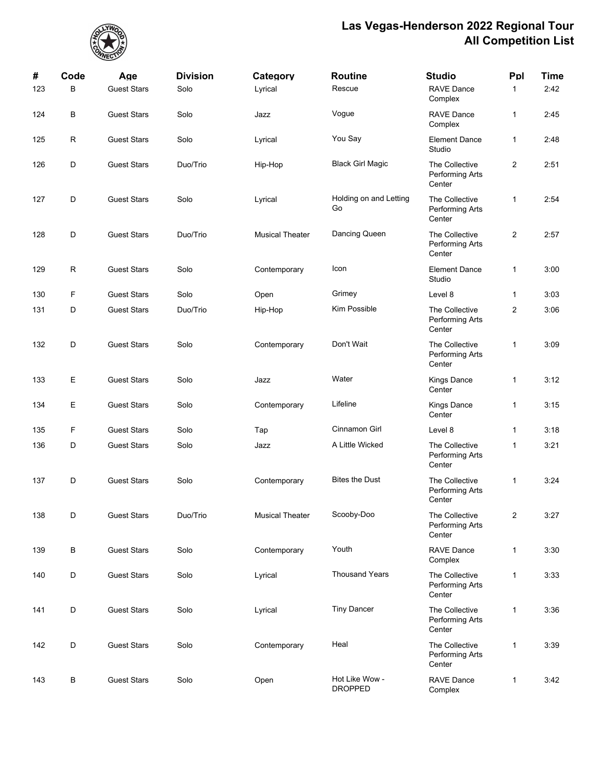

| #   | Code | Age                | <b>Division</b> | Category               | <b>Routine</b>                   | <b>Studio</b>                                      | Ppl              | Time |
|-----|------|--------------------|-----------------|------------------------|----------------------------------|----------------------------------------------------|------------------|------|
| 123 | B    | <b>Guest Stars</b> | Solo            | Lyrical                | Rescue                           | RAVE Dance<br>Complex                              | 1                | 2:42 |
| 124 | В    | <b>Guest Stars</b> | Solo            | Jazz                   | Vogue                            | <b>RAVE Dance</b><br>Complex                       | 1                | 2:45 |
| 125 | R    | <b>Guest Stars</b> | Solo            | Lyrical                | You Say                          | <b>Element Dance</b><br>Studio                     | 1                | 2:48 |
| 126 | D    | <b>Guest Stars</b> | Duo/Trio        | Hip-Hop                | <b>Black Girl Magic</b>          | The Collective<br>Performing Arts<br>Center        | $\boldsymbol{2}$ | 2:51 |
| 127 | D    | <b>Guest Stars</b> | Solo            | Lyrical                | Holding on and Letting<br>Go     | The Collective<br>Performing Arts<br>Center        | 1                | 2:54 |
| 128 | D    | <b>Guest Stars</b> | Duo/Trio        | <b>Musical Theater</b> | Dancing Queen                    | The Collective<br>Performing Arts<br>Center        | $\overline{c}$   | 2:57 |
| 129 | R    | <b>Guest Stars</b> | Solo            | Contemporary           | Icon                             | <b>Element Dance</b><br>Studio                     | 1                | 3:00 |
| 130 | F    | <b>Guest Stars</b> | Solo            | Open                   | Grimey                           | Level 8                                            | 1                | 3:03 |
| 131 | D    | <b>Guest Stars</b> | Duo/Trio        | Hip-Hop                | Kim Possible                     | The Collective<br>Performing Arts<br>Center        | $\overline{2}$   | 3:06 |
| 132 | D    | <b>Guest Stars</b> | Solo            | Contemporary           | Don't Wait                       | The Collective<br>Performing Arts<br>Center        | 1                | 3:09 |
| 133 | Е    | <b>Guest Stars</b> | Solo            | Jazz                   | Water                            | <b>Kings Dance</b><br>Center                       | 1                | 3:12 |
| 134 | Ε    | <b>Guest Stars</b> | Solo            | Contemporary           | Lifeline                         | Kings Dance<br>Center                              | 1                | 3:15 |
| 135 | F    | <b>Guest Stars</b> | Solo            | Tap                    | Cinnamon Girl                    | Level 8                                            | 1                | 3:18 |
| 136 | D    | <b>Guest Stars</b> | Solo            | Jazz                   | A Little Wicked                  | The Collective<br><b>Performing Arts</b><br>Center | 1                | 3:21 |
| 137 | D    | <b>Guest Stars</b> | Solo            | Contemporary           | <b>Bites the Dust</b>            | The Collective<br>Performing Arts<br>Center        | 1                | 3:24 |
| 138 | D    | <b>Guest Stars</b> | Duo/Trio        | <b>Musical Theater</b> | Scooby-Doo                       | The Collective<br>Performing Arts<br>Center        | $\overline{2}$   | 3:27 |
| 139 | В    | <b>Guest Stars</b> | Solo            | Contemporary           | Youth                            | <b>RAVE Dance</b><br>Complex                       | 1                | 3:30 |
| 140 | D    | <b>Guest Stars</b> | Solo            | Lyrical                | <b>Thousand Years</b>            | The Collective<br>Performing Arts<br>Center        | 1                | 3:33 |
| 141 | D    | <b>Guest Stars</b> | Solo            | Lyrical                | <b>Tiny Dancer</b>               | The Collective<br>Performing Arts<br>Center        | $\mathbf{1}$     | 3:36 |
| 142 | D    | <b>Guest Stars</b> | Solo            | Contemporary           | Heal                             | The Collective<br>Performing Arts<br>Center        | $\mathbf{1}$     | 3:39 |
| 143 | В    | <b>Guest Stars</b> | Solo            | Open                   | Hot Like Wow -<br><b>DROPPED</b> | <b>RAVE Dance</b><br>Complex                       | 1                | 3:42 |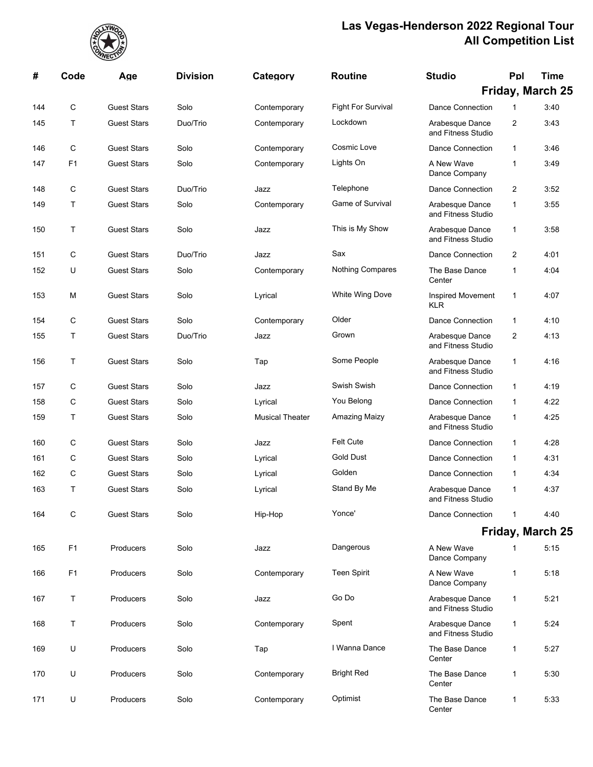

| #   | Code           | Age                | <b>Division</b> | Category               | <b>Routine</b>            | <b>Studio</b>                          | Ppl          | Time             |
|-----|----------------|--------------------|-----------------|------------------------|---------------------------|----------------------------------------|--------------|------------------|
|     |                |                    |                 |                        |                           |                                        |              | Friday, March 25 |
| 144 | $\mathbf C$    | <b>Guest Stars</b> | Solo            | Contemporary           | <b>Fight For Survival</b> | <b>Dance Connection</b>                | $\mathbf{1}$ | 3:40             |
| 145 | T.             | <b>Guest Stars</b> | Duo/Trio        | Contemporary           | Lockdown                  | Arabesque Dance<br>and Fitness Studio  | 2            | 3:43             |
| 146 | C              | <b>Guest Stars</b> | Solo            | Contemporary           | Cosmic Love               | Dance Connection                       | 1            | 3:46             |
| 147 | F <sub>1</sub> | <b>Guest Stars</b> | Solo            | Contemporary           | Lights On                 | A New Wave<br>Dance Company            | 1            | 3:49             |
| 148 | $\mathbf C$    | <b>Guest Stars</b> | Duo/Trio        | Jazz                   | Telephone                 | <b>Dance Connection</b>                | 2            | 3:52             |
| 149 | T.             | <b>Guest Stars</b> | Solo            | Contemporary           | <b>Game of Survival</b>   | Arabesque Dance<br>and Fitness Studio  | 1            | 3:55             |
| 150 | Τ              | <b>Guest Stars</b> | Solo            | Jazz                   | This is My Show           | Arabesque Dance<br>and Fitness Studio  | 1            | 3:58             |
| 151 | C              | <b>Guest Stars</b> | Duo/Trio        | Jazz                   | Sax                       | <b>Dance Connection</b>                | 2            | 4:01             |
| 152 | U              | <b>Guest Stars</b> | Solo            | Contemporary           | Nothing Compares          | The Base Dance<br>Center               | $\mathbf{1}$ | 4:04             |
| 153 | м              | <b>Guest Stars</b> | Solo            | Lyrical                | White Wing Dove           | <b>Inspired Movement</b><br><b>KLR</b> | 1            | 4:07             |
| 154 | C              | <b>Guest Stars</b> | Solo            | Contemporary           | Older                     | <b>Dance Connection</b>                | 1            | 4:10             |
| 155 | T.             | <b>Guest Stars</b> | Duo/Trio        | Jazz                   | Grown                     | Arabesque Dance<br>and Fitness Studio  | 2            | 4:13             |
| 156 | T.             | <b>Guest Stars</b> | Solo            | Tap                    | Some People               | Arabesque Dance<br>and Fitness Studio  | 1            | 4:16             |
| 157 | C              | <b>Guest Stars</b> | Solo            | Jazz                   | Swish Swish               | Dance Connection                       | 1            | 4:19             |
| 158 | C              | <b>Guest Stars</b> | Solo            | Lyrical                | You Belong                | <b>Dance Connection</b>                | 1            | 4:22             |
| 159 | T.             | <b>Guest Stars</b> | Solo            | <b>Musical Theater</b> | Amazing Maizy             | Arabesque Dance<br>and Fitness Studio  | 1            | 4:25             |
| 160 | C              | <b>Guest Stars</b> | Solo            | Jazz                   | <b>Felt Cute</b>          | <b>Dance Connection</b>                | 1            | 4:28             |
| 161 | C              | <b>Guest Stars</b> | Solo            | Lyrical                | <b>Gold Dust</b>          | <b>Dance Connection</b>                | $\mathbf{1}$ | 4:31             |
| 162 | $\mathbf C$    | <b>Guest Stars</b> | Solo            | Lyrical                | Golden                    | <b>Dance Connection</b>                | 1            | 4:34             |
| 163 | T              | <b>Guest Stars</b> | Solo            | Lyrical                | Stand By Me               | Arabesque Dance<br>and Fitness Studio  | 1            | 4:37             |
| 164 | С              | <b>Guest Stars</b> | Solo            | Hip-Hop                | Yonce'                    | <b>Dance Connection</b>                | 1            | 4:40             |
|     |                |                    |                 |                        |                           |                                        |              | Friday, March 25 |
| 165 | F <sub>1</sub> | Producers          | Solo            | Jazz                   | Dangerous                 | A New Wave<br>Dance Company            | 1            | 5:15             |
| 166 | F <sub>1</sub> | Producers          | Solo            | Contemporary           | <b>Teen Spirit</b>        | A New Wave<br>Dance Company            | 1            | 5:18             |
| 167 | Τ              | Producers          | Solo            | Jazz                   | Go Do                     | Arabesque Dance<br>and Fitness Studio  | 1            | 5:21             |
| 168 | Τ              | Producers          | Solo            | Contemporary           | Spent                     | Arabesque Dance<br>and Fitness Studio  | $\mathbf{1}$ | 5:24             |
| 169 | U              | Producers          | Solo            | Tap                    | I Wanna Dance             | The Base Dance<br>Center               | 1            | 5:27             |
| 170 | U              | Producers          | Solo            | Contemporary           | <b>Bright Red</b>         | The Base Dance<br>Center               | 1            | 5:30             |
| 171 | U              | Producers          | Solo            | Contemporary           | Optimist                  | The Base Dance<br>Center               | 1            | 5:33             |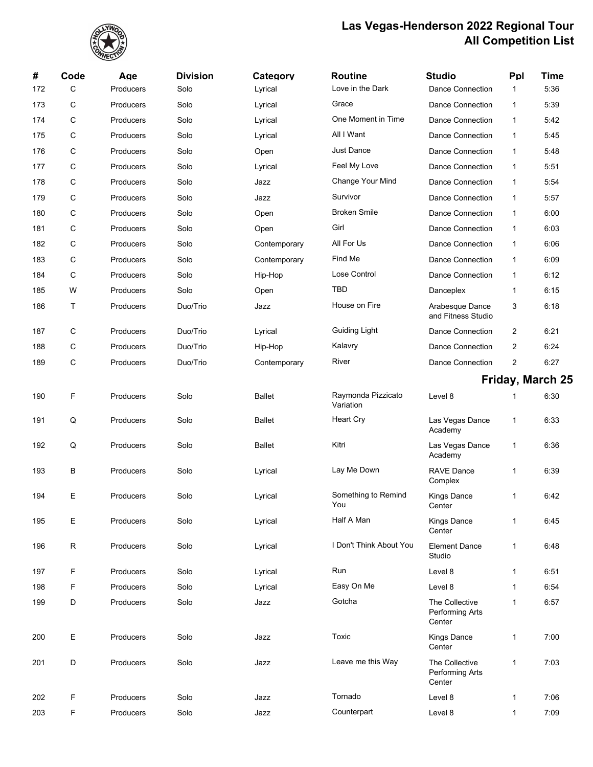

| #   | Code        | Age              | <b>Division</b> | Category      | <b>Routine</b>                  | <b>Studio</b>                               | Ppl          | <b>Time</b>      |
|-----|-------------|------------------|-----------------|---------------|---------------------------------|---------------------------------------------|--------------|------------------|
| 172 | $\mathbf C$ | Producers        | Solo            | Lyrical       | Love in the Dark                | <b>Dance Connection</b>                     | $\mathbf{1}$ | 5:36             |
| 173 | C           | Producers        | Solo            | Lyrical       | Grace                           | <b>Dance Connection</b>                     | 1            | 5:39             |
| 174 | C           | Producers        | Solo            | Lyrical       | One Moment in Time              | <b>Dance Connection</b>                     | 1            | 5:42             |
| 175 | C           | Producers        | Solo            | Lyrical       | All I Want                      | <b>Dance Connection</b>                     | 1            | 5:45             |
| 176 | C           | Producers        | Solo            | Open          | <b>Just Dance</b>               | <b>Dance Connection</b>                     | $\mathbf{1}$ | 5:48             |
| 177 | C           | Producers        | Solo            | Lyrical       | Feel My Love                    | <b>Dance Connection</b>                     | 1            | 5:51             |
| 178 | C           | Producers        | Solo            | Jazz          | Change Your Mind                | <b>Dance Connection</b>                     | 1            | 5:54             |
| 179 | $\mathbf C$ | Producers        | Solo            | Jazz          | Survivor                        | <b>Dance Connection</b>                     | $\mathbf{1}$ | 5:57             |
| 180 | C           | Producers        | Solo            | Open          | <b>Broken Smile</b>             | <b>Dance Connection</b>                     | 1            | 6:00             |
| 181 | C           | Producers        | Solo            | Open          | Girl                            | <b>Dance Connection</b>                     | 1            | 6:03             |
| 182 | C           | Producers        | Solo            | Contemporary  | All For Us                      | <b>Dance Connection</b>                     | 1            | 6:06             |
| 183 | C           | Producers        | Solo            | Contemporary  | Find Me                         | <b>Dance Connection</b>                     | 1            | 6:09             |
| 184 | C           | Producers        | Solo            | Hip-Hop       | Lose Control                    | <b>Dance Connection</b>                     | 1            | 6:12             |
| 185 | W           | Producers        | Solo            | Open          | TBD                             | Danceplex                                   | $\mathbf{1}$ | 6:15             |
| 186 | Τ           | Producers        | Duo/Trio        | Jazz          | House on Fire                   | Arabesque Dance<br>and Fitness Studio       | 3            | 6:18             |
| 187 | C           | Producers        | Duo/Trio        | Lyrical       | Guiding Light                   | <b>Dance Connection</b>                     | 2            | 6:21             |
| 188 | C           | Producers        | Duo/Trio        | Hip-Hop       | Kalavry                         | <b>Dance Connection</b>                     | 2            | 6:24             |
| 189 | $\mathbf C$ | Producers        | Duo/Trio        | Contemporary  | River                           | Dance Connection                            | 2            | 6:27             |
|     |             |                  |                 |               |                                 |                                             |              | Friday, March 25 |
| 190 | F           | Producers        | Solo            | <b>Ballet</b> | Raymonda Pizzicato<br>Variation | Level 8                                     | 1            | 6:30             |
| 191 | Q           | Producers        | Solo            | <b>Ballet</b> | <b>Heart Cry</b>                | Las Vegas Dance<br>Academy                  | 1            | 6:33             |
| 192 | Q           | Producers        | Solo            | <b>Ballet</b> | Kitri                           | Las Vegas Dance<br>Academy                  | 1            | 6:36             |
| 193 | В           | Producers        | Solo            | Lyrical       | Lay Me Down                     | <b>RAVE Dance</b><br>Complex                | 1            | 6:39             |
| 194 | Е           | Producers        | Solo            | Lyrical       | Something to Remind<br>You      | Kings Dance<br>Center                       | 1            | 6:42             |
| 195 | Е           | Producers        | Solo            | Lyrical       | Half A Man                      | <b>Kings Dance</b><br>Center                | $\mathbf{1}$ | 6:45             |
| 196 | $\mathsf R$ | Producers        | Solo            | Lyrical       | I Don't Think About You         | <b>Element Dance</b><br>Studio              | 1            | 6:48             |
| 197 | F           | Producers        | Solo            | Lyrical       | Run                             | Level 8                                     | 1            | 6:51             |
| 198 | F           | <b>Producers</b> | Solo            | Lyrical       | Easy On Me                      | Level 8                                     | 1            | 6:54             |
| 199 | D           | <b>Producers</b> | Solo            | Jazz          | Gotcha                          | The Collective<br>Performing Arts<br>Center | $\mathbf{1}$ | 6:57             |
| 200 | Е           | Producers        | Solo            | Jazz          | Toxic                           | <b>Kings Dance</b><br>Center                | 1            | 7:00             |
| 201 | D           | Producers        | Solo            | Jazz          | Leave me this Way               | The Collective<br>Performing Arts<br>Center | 1            | 7:03             |
| 202 | F           | Producers        | Solo            | Jazz          | Tornado                         | Level 8                                     | 1            | 7:06             |
| 203 | F           | Producers        | Solo            | Jazz          | Counterpart                     | Level 8                                     | 1            | 7:09             |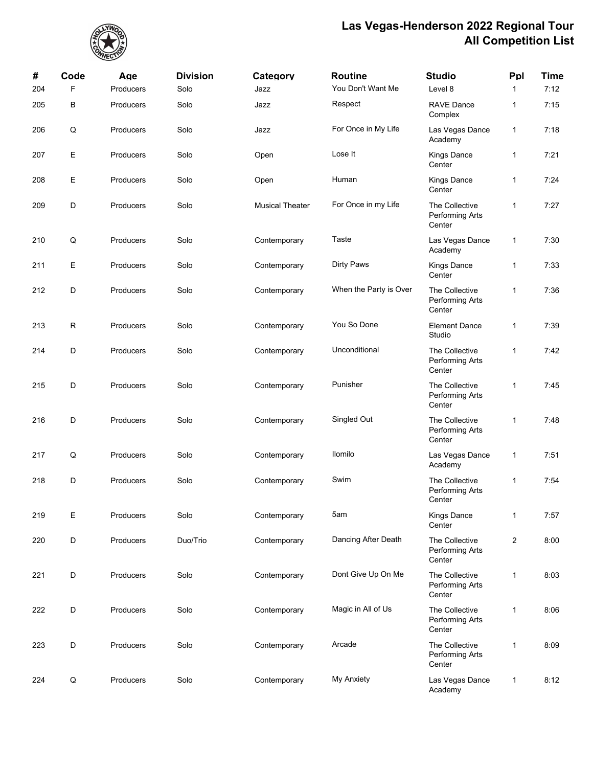

| #   | Code | Age       | <b>Division</b> | Category               | <b>Routine</b>         | <b>Studio</b>                               | Ppl            | <b>Time</b> |
|-----|------|-----------|-----------------|------------------------|------------------------|---------------------------------------------|----------------|-------------|
| 204 | F    | Producers | Solo            | Jazz                   | You Don't Want Me      | Level 8                                     | $\mathbf{1}$   | 7:12        |
| 205 | В    | Producers | Solo            | Jazz                   | Respect                | <b>RAVE Dance</b><br>Complex                | $\mathbf{1}$   | 7:15        |
| 206 | Q    | Producers | Solo            | Jazz                   | For Once in My Life    | Las Vegas Dance<br>Academy                  | $\mathbf{1}$   | 7:18        |
| 207 | Е    | Producers | Solo            | Open                   | Lose It                | Kings Dance<br>Center                       | $\mathbf{1}$   | 7:21        |
| 208 | Ε    | Producers | Solo            | Open                   | Human                  | Kings Dance<br>Center                       | $\mathbf{1}$   | 7:24        |
| 209 | D    | Producers | Solo            | <b>Musical Theater</b> | For Once in my Life    | The Collective<br>Performing Arts<br>Center | $\mathbf{1}$   | 7:27        |
| 210 | Q    | Producers | Solo            | Contemporary           | Taste                  | Las Vegas Dance<br>Academy                  | $\mathbf{1}$   | 7:30        |
| 211 | Е    | Producers | Solo            | Contemporary           | <b>Dirty Paws</b>      | Kings Dance<br>Center                       | 1              | 7:33        |
| 212 | D    | Producers | Solo            | Contemporary           | When the Party is Over | The Collective<br>Performing Arts<br>Center | $\mathbf{1}$   | 7:36        |
| 213 | R    | Producers | Solo            | Contemporary           | You So Done            | <b>Element Dance</b><br>Studio              | $\mathbf 1$    | 7:39        |
| 214 | D    | Producers | Solo            | Contemporary           | Unconditional          | The Collective<br>Performing Arts<br>Center | $\mathbf{1}$   | 7:42        |
| 215 | D    | Producers | Solo            | Contemporary           | Punisher               | The Collective<br>Performing Arts<br>Center | $\mathbf{1}$   | 7:45        |
| 216 | D    | Producers | Solo            | Contemporary           | Singled Out            | The Collective<br>Performing Arts<br>Center | $\mathbf{1}$   | 7:48        |
| 217 | Q    | Producers | Solo            | Contemporary           | Ilomilo                | Las Vegas Dance<br>Academy                  | $\mathbf{1}$   | 7:51        |
| 218 | D    | Producers | Solo            | Contemporary           | Swim                   | The Collective<br>Performing Arts<br>Center | $\mathbf{1}$   | 7:54        |
| 219 | Е    | Producers | Solo            | Contemporary           | 5am                    | <b>Kings Dance</b><br>Center                | $\mathbf{1}$   | 7:57        |
| 220 | D    | Producers | Duo/Trio        | Contemporary           | Dancing After Death    | The Collective<br>Performing Arts<br>Center | $\overline{c}$ | 8:00        |
| 221 | D    | Producers | Solo            | Contemporary           | Dont Give Up On Me     | The Collective<br>Performing Arts<br>Center | $\mathbf{1}$   | 8:03        |
| 222 | D    | Producers | Solo            | Contemporary           | Magic in All of Us     | The Collective<br>Performing Arts<br>Center | $\mathbf{1}$   | 8:06        |
| 223 | D    | Producers | Solo            | Contemporary           | Arcade                 | The Collective<br>Performing Arts<br>Center | $\mathbf{1}$   | 8:09        |
| 224 | Q    | Producers | Solo            | Contemporary           | <b>My Anxiety</b>      | Las Vegas Dance<br>Academy                  | $\mathbf{1}$   | 8:12        |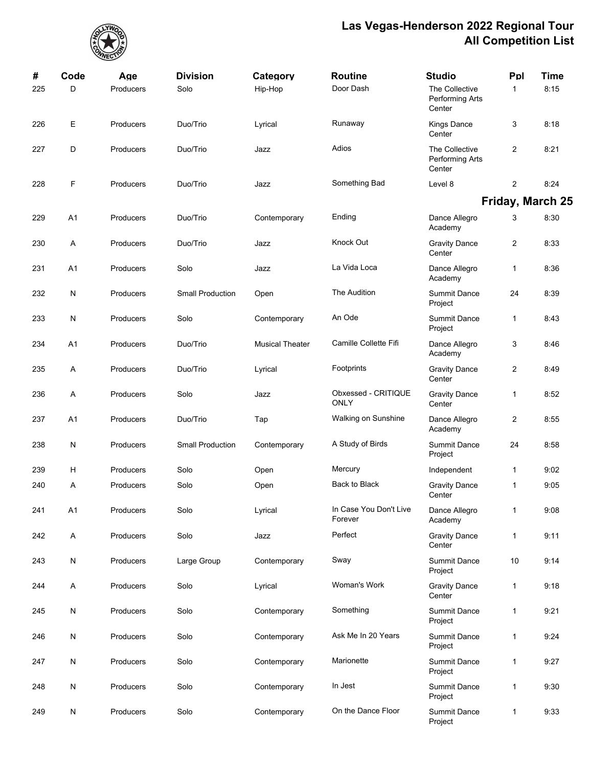

| #<br>225 | Code<br>D      | Age<br>Producers | <b>Division</b><br>Solo | Category<br>Hip-Hop    | <b>Routine</b><br>Door Dash        | <b>Studio</b><br>The Collective<br>Performing Arts<br>Center | Ppl<br>$\mathbf{1}$ | Time<br>8:15     |
|----------|----------------|------------------|-------------------------|------------------------|------------------------------------|--------------------------------------------------------------|---------------------|------------------|
| 226      | Ε              | Producers        | Duo/Trio                | Lyrical                | Runaway                            | <b>Kings Dance</b><br>Center                                 | 3                   | 8.18             |
| 227      | D              | Producers        | Duo/Trio                | Jazz                   | Adios                              | The Collective<br>Performing Arts<br>Center                  | $\overline{2}$      | 8:21             |
| 228      | F              | Producers        | Duo/Trio                | Jazz                   | Something Bad                      | Level 8                                                      | $\overline{c}$      | 8:24             |
|          |                |                  |                         |                        |                                    |                                                              |                     | Friday, March 25 |
| 229      | A <sub>1</sub> | Producers        | Duo/Trio                | Contemporary           | Ending                             | Dance Allegro<br>Academy                                     | 3                   | 8:30             |
| 230      | Α              | Producers        | Duo/Trio                | Jazz                   | Knock Out                          | <b>Gravity Dance</b><br>Center                               | $\overline{2}$      | 8:33             |
| 231      | A <sub>1</sub> | Producers        | Solo                    | Jazz                   | La Vida Loca                       | Dance Allegro<br>Academy                                     | 1                   | 8:36             |
| 232      | N              | Producers        | <b>Small Production</b> | Open                   | The Audition                       | <b>Summit Dance</b><br>Project                               | 24                  | 8:39             |
| 233      | N              | Producers        | Solo                    | Contemporary           | An Ode                             | <b>Summit Dance</b><br>Project                               | 1                   | 8:43             |
| 234      | A1             | Producers        | Duo/Trio                | <b>Musical Theater</b> | Camille Collette Fifi              | Dance Allegro<br>Academy                                     | 3                   | 8:46             |
| 235      | Α              | Producers        | Duo/Trio                | Lyrical                | Footprints                         | <b>Gravity Dance</b><br>Center                               | $\overline{c}$      | 8:49             |
| 236      | Α              | Producers        | Solo                    | Jazz                   | Obxessed - CRITIQUE<br><b>ONLY</b> | <b>Gravity Dance</b><br>Center                               | 1                   | 8:52             |
| 237      | A <sub>1</sub> | Producers        | Duo/Trio                | Tap                    | Walking on Sunshine                | Dance Allegro<br>Academy                                     | $\overline{2}$      | 8:55             |
| 238      | N              | Producers        | <b>Small Production</b> | Contemporary           | A Study of Birds                   | <b>Summit Dance</b><br>Project                               | 24                  | 8:58             |
| 239      | н              | Producers        | Solo                    | Open                   | Mercury                            | Independent                                                  | 1                   | 9.02             |
| 240      | Α              | Producers        | Solo                    | Open                   | Back to Black                      | <b>Gravity Dance</b><br>Center                               | 1                   | 9.05             |
| 241      | A1             | Producers        | Solo                    | Lyrical                | In Case You Don't Live<br>Forever  | Dance Allegro<br>Academy                                     | 1                   | 9:08             |
| 242      | Α              | Producers        | Solo                    | Jazz                   | Perfect                            | <b>Gravity Dance</b><br>Center                               | 1                   | 9:11             |
| 243      | N              | Producers        | Large Group             | Contemporary           | Sway                               | <b>Summit Dance</b><br>Project                               | 10                  | 9:14             |
| 244      | A              | Producers        | Solo                    | Lyrical                | Woman's Work                       | <b>Gravity Dance</b><br>Center                               | 1                   | 9.18             |
| 245      | N              | Producers        | Solo                    | Contemporary           | Something                          | <b>Summit Dance</b><br>Project                               | 1                   | 9:21             |
| 246      | N              | Producers        | Solo                    | Contemporary           | Ask Me In 20 Years                 | <b>Summit Dance</b><br>Project                               | 1                   | 9:24             |
| 247      | N              | Producers        | Solo                    | Contemporary           | Marionette                         | <b>Summit Dance</b><br>Project                               | 1                   | 9.27             |
| 248      | N              | Producers        | Solo                    | Contemporary           | In Jest                            | <b>Summit Dance</b><br>Project                               | 1                   | 9:30             |
| 249      | N              | Producers        | Solo                    | Contemporary           | On the Dance Floor                 | <b>Summit Dance</b><br>Project                               | 1                   | 9:33             |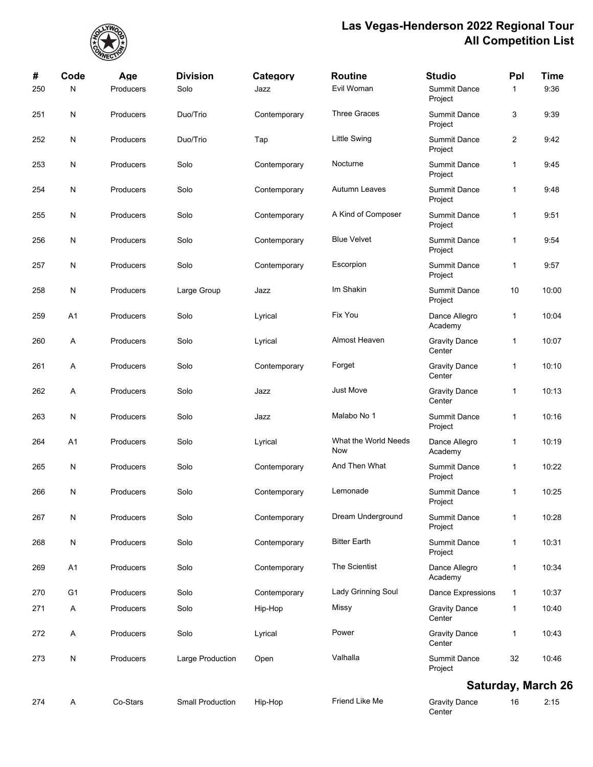

| #   | Code           | Age       | <b>Division</b>         | Category     | <b>Routine</b>              | <b>Studio</b>                  | Ppl            | Time                      |
|-----|----------------|-----------|-------------------------|--------------|-----------------------------|--------------------------------|----------------|---------------------------|
| 250 | N              | Producers | Solo                    | Jazz         | Evil Woman                  | <b>Summit Dance</b><br>Project | 1              | 9:36                      |
| 251 | N              | Producers | Duo/Trio                | Contemporary | <b>Three Graces</b>         | <b>Summit Dance</b><br>Project | 3              | 9:39                      |
| 252 | ${\sf N}$      | Producers | Duo/Trio                | Tap          | <b>Little Swing</b>         | <b>Summit Dance</b><br>Project | $\overline{2}$ | 9:42                      |
| 253 | ${\sf N}$      | Producers | Solo                    | Contemporary | Nocturne                    | <b>Summit Dance</b><br>Project | 1              | 9:45                      |
| 254 | N              | Producers | Solo                    | Contemporary | Autumn Leaves               | <b>Summit Dance</b><br>Project | 1              | 9:48                      |
| 255 | N              | Producers | Solo                    | Contemporary | A Kind of Composer          | <b>Summit Dance</b><br>Project | 1              | 9:51                      |
| 256 | N              | Producers | Solo                    | Contemporary | <b>Blue Velvet</b>          | <b>Summit Dance</b><br>Project | 1              | 9:54                      |
| 257 | N              | Producers | Solo                    | Contemporary | Escorpion                   | <b>Summit Dance</b><br>Project | 1              | 9:57                      |
| 258 | N              | Producers | Large Group             | Jazz         | Im Shakin                   | <b>Summit Dance</b><br>Project | 10             | 10:00                     |
| 259 | A <sub>1</sub> | Producers | Solo                    | Lyrical      | Fix You                     | Dance Allegro<br>Academy       | 1              | 10:04                     |
| 260 | Α              | Producers | Solo                    | Lyrical      | Almost Heaven               | <b>Gravity Dance</b><br>Center | 1              | 10:07                     |
| 261 | Α              | Producers | Solo                    | Contemporary | Forget                      | <b>Gravity Dance</b><br>Center | 1              | 10:10                     |
| 262 | Α              | Producers | Solo                    | Jazz         | <b>Just Move</b>            | <b>Gravity Dance</b><br>Center | 1              | 10:13                     |
| 263 | N              | Producers | Solo                    | Jazz         | Malabo No 1                 | <b>Summit Dance</b><br>Project | 1              | 10:16                     |
| 264 | A <sub>1</sub> | Producers | Solo                    | Lyrical      | What the World Needs<br>Now | Dance Allegro<br>Academy       | 1              | 10:19                     |
| 265 | N              | Producers | Solo                    | Contemporary | And Then What               | <b>Summit Dance</b><br>Project | 1              | 10:22                     |
| 266 | N              | Producers | Solo                    | Contemporary | Lemonade                    | <b>Summit Dance</b><br>Project | 1              | 10:25                     |
| 267 | N              | Producers | Solo                    | Contemporary | Dream Underground           | <b>Summit Dance</b><br>Project | $\mathbf{1}$   | 10:28                     |
| 268 | ${\sf N}$      | Producers | Solo                    | Contemporary | <b>Bitter Earth</b>         | <b>Summit Dance</b><br>Project | 1              | 10:31                     |
| 269 | A1             | Producers | Solo                    | Contemporary | The Scientist               | Dance Allegro<br>Academy       | 1              | 10:34                     |
| 270 | G <sub>1</sub> | Producers | Solo                    | Contemporary | Lady Grinning Soul          | Dance Expressions              | 1              | 10:37                     |
| 271 | A              | Producers | Solo                    | Hip-Hop      | Missy                       | <b>Gravity Dance</b><br>Center | 1              | 10:40                     |
| 272 | A              | Producers | Solo                    | Lyrical      | Power                       | <b>Gravity Dance</b><br>Center | 1              | 10:43                     |
| 273 | ${\sf N}$      | Producers | Large Production        | Open         | Valhalla                    | <b>Summit Dance</b><br>Project | 32             | 10:46                     |
|     |                |           |                         |              |                             |                                |                | <b>Saturday, March 26</b> |
| 274 | Α              | Co-Stars  | <b>Small Production</b> | Hip-Hop      | Friend Like Me              | <b>Gravity Dance</b><br>Center | 16             | 2:15                      |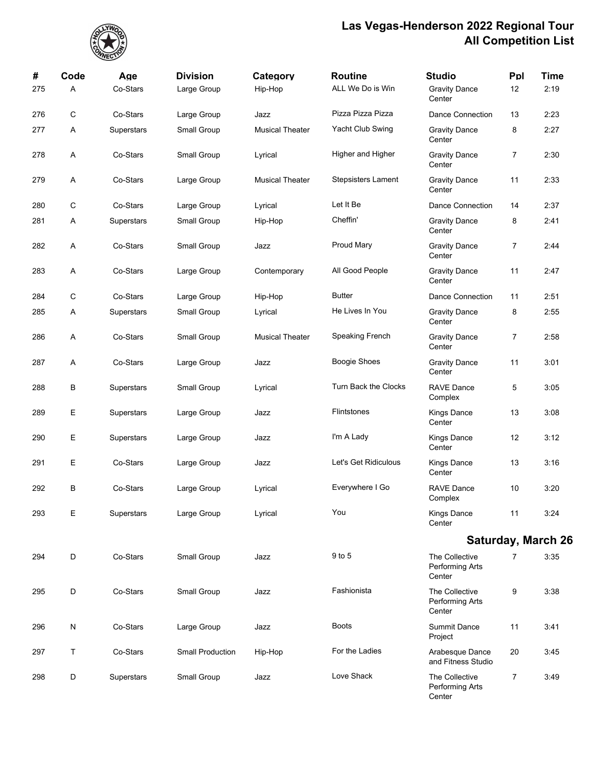

| #<br>275 | Code<br>Α | Age<br>Co-Stars | <b>Division</b><br>Large Group | Category<br>Hip-Hop    | <b>Routine</b><br>ALL We Do is Win | <b>Studio</b><br><b>Gravity Dance</b>       | Ppl<br>12 | <b>Time</b><br>2:19       |
|----------|-----------|-----------------|--------------------------------|------------------------|------------------------------------|---------------------------------------------|-----------|---------------------------|
|          |           |                 |                                |                        |                                    | Center                                      |           |                           |
| 276      | C         | Co-Stars        | Large Group                    | Jazz                   | Pizza Pizza Pizza                  | <b>Dance Connection</b>                     | 13        | 2:23                      |
| 277      | Α         | Superstars      | Small Group                    | <b>Musical Theater</b> | Yacht Club Swing                   | <b>Gravity Dance</b><br>Center              | 8         | 2:27                      |
| 278      | Α         | Co-Stars        | Small Group                    | Lyrical                | Higher and Higher                  | <b>Gravity Dance</b><br>Center              | 7         | 2:30                      |
| 279      | Α         | Co-Stars        | Large Group                    | <b>Musical Theater</b> | <b>Stepsisters Lament</b>          | <b>Gravity Dance</b><br>Center              | 11        | 2:33                      |
| 280      | C         | Co-Stars        | Large Group                    | Lyrical                | Let It Be                          | Dance Connection                            | 14        | 2:37                      |
| 281      | A         | Superstars      | Small Group                    | Hip-Hop                | Cheffin'                           | <b>Gravity Dance</b><br>Center              | 8         | 2:41                      |
| 282      | Α         | Co-Stars        | Small Group                    | Jazz                   | <b>Proud Mary</b>                  | <b>Gravity Dance</b><br>Center              | 7         | 2:44                      |
| 283      | Α         | Co-Stars        | Large Group                    | Contemporary           | All Good People                    | <b>Gravity Dance</b><br>Center              | 11        | 2:47                      |
| 284      | C         | Co-Stars        | Large Group                    | Hip-Hop                | <b>Butter</b>                      | Dance Connection                            | 11        | 2:51                      |
| 285      | A         | Superstars      | Small Group                    | Lyrical                | He Lives In You                    | <b>Gravity Dance</b><br>Center              | 8         | 2:55                      |
| 286      | A         | Co-Stars        | Small Group                    | <b>Musical Theater</b> | Speaking French                    | <b>Gravity Dance</b><br>Center              | 7         | 2:58                      |
| 287      | A         | Co-Stars        | Large Group                    | Jazz                   | Boogie Shoes                       | <b>Gravity Dance</b><br>Center              | 11        | 3:01                      |
| 288      | В         | Superstars      | Small Group                    | Lyrical                | Turn Back the Clocks               | <b>RAVE Dance</b><br>Complex                | 5         | 3:05                      |
| 289      | Ε         | Superstars      | Large Group                    | Jazz                   | Flintstones                        | Kings Dance<br>Center                       | 13        | 3:08                      |
| 290      | Е         | Superstars      | Large Group                    | Jazz                   | I'm A Lady                         | Kings Dance<br>Center                       | 12        | 3:12                      |
| 291      | Ε         | Co-Stars        | Large Group                    | Jazz                   | Let's Get Ridiculous               | Kings Dance<br>Center                       | 13        | 3:16                      |
| 292      | B         | Co-Stars        | Large Group                    | Lyrical                | Everywhere I Go                    | <b>RAVE Dance</b><br>Complex                | 10        | 3:20                      |
| 293      | Е         | Superstars      | Large Group                    | Lyrical                | You                                | Kings Dance<br>Center                       | 11        | 3:24                      |
|          |           |                 |                                |                        |                                    |                                             |           | <b>Saturday, March 26</b> |
| 294      | D         | Co-Stars        | Small Group                    | Jazz                   | 9 to 5                             | The Collective<br>Performing Arts<br>Center | 7         | 3:35                      |
| 295      | D         | Co-Stars        | Small Group                    | Jazz                   | Fashionista                        | The Collective<br>Performing Arts<br>Center | 9         | 3:38                      |
| 296      | ${\sf N}$ | Co-Stars        | Large Group                    | Jazz                   | <b>Boots</b>                       | <b>Summit Dance</b><br>Project              | 11        | 3:41                      |
| 297      | T         | Co-Stars        | <b>Small Production</b>        | Hip-Hop                | For the Ladies                     | Arabesque Dance<br>and Fitness Studio       | 20        | 3:45                      |
| 298      | D         | Superstars      | Small Group                    | Jazz                   | Love Shack                         | The Collective<br>Performing Arts<br>Center | 7         | 3:49                      |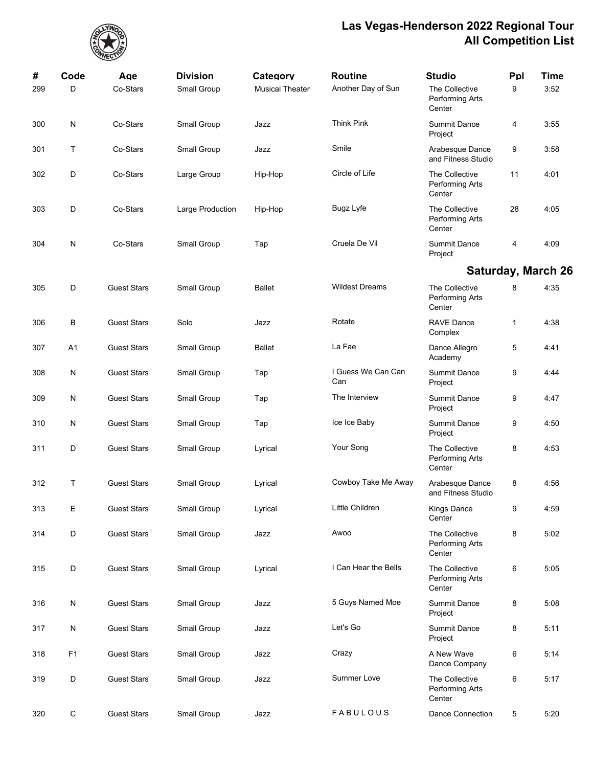

| #   | Code           | Age                | <b>Division</b>  | Category               | <b>Routine</b>            | <b>Studio</b>                               | Ppl | Time                      |
|-----|----------------|--------------------|------------------|------------------------|---------------------------|---------------------------------------------|-----|---------------------------|
| 299 | D              | Co-Stars           | Small Group      | <b>Musical Theater</b> | Another Day of Sun        | The Collective<br>Performing Arts<br>Center | 9   | 3:52                      |
| 300 | N              | Co-Stars           | Small Group      | Jazz                   | <b>Think Pink</b>         | <b>Summit Dance</b><br>Project              | 4   | 3.55                      |
| 301 | Т              | Co-Stars           | Small Group      | Jazz                   | Smile                     | Arabesque Dance<br>and Fitness Studio       | 9   | 3:58                      |
| 302 | D              | Co-Stars           | Large Group      | Hip-Hop                | Circle of Life            | The Collective<br>Performing Arts<br>Center | 11  | 4:01                      |
| 303 | D              | Co-Stars           | Large Production | Hip-Hop                | <b>Bugz Lyfe</b>          | The Collective<br>Performing Arts<br>Center | 28  | 4:05                      |
| 304 | $\mathsf{N}$   | Co-Stars           | Small Group      | Tap                    | Cruela De Vil             | <b>Summit Dance</b><br>Project              | 4   | 4:09                      |
|     |                |                    |                  |                        |                           |                                             |     | <b>Saturday, March 26</b> |
| 305 | D              | <b>Guest Stars</b> | Small Group      | <b>Ballet</b>          | <b>Wildest Dreams</b>     | The Collective<br>Performing Arts<br>Center | 8   | 4:35                      |
| 306 | В              | <b>Guest Stars</b> | Solo             | Jazz                   | Rotate                    | <b>RAVE Dance</b><br>Complex                | 1   | 4:38                      |
| 307 | A1             | <b>Guest Stars</b> | Small Group      | <b>Ballet</b>          | La Fae                    | Dance Allegro<br>Academy                    | 5   | 4:41                      |
| 308 | $\mathsf{N}$   | <b>Guest Stars</b> | Small Group      | Tap                    | I Guess We Can Can<br>Can | <b>Summit Dance</b><br>Project              | 9   | 4:44                      |
| 309 | N              | <b>Guest Stars</b> | Small Group      | Tap                    | The Interview             | <b>Summit Dance</b><br>Project              | 9   | 4:47                      |
| 310 | N              | <b>Guest Stars</b> | Small Group      | Tap                    | Ice Ice Baby              | <b>Summit Dance</b><br>Project              | 9   | 4:50                      |
| 311 | D              | <b>Guest Stars</b> | Small Group      | Lyrical                | Your Song                 | The Collective<br>Performing Arts<br>Center | 8   | 4:53                      |
| 312 | Τ              | <b>Guest Stars</b> | Small Group      | Lyrical                | Cowboy Take Me Away       | Arabesque Dance<br>and Fitness Studio       | 8   | 4:56                      |
| 313 | Е              | <b>Guest Stars</b> | Small Group      | Lyrical                | Little Children           | <b>Kings Dance</b><br>Center                | 9   | 4:59                      |
| 314 | D              | <b>Guest Stars</b> | Small Group      | Jazz                   | Awoo                      | The Collective<br>Performing Arts<br>Center | 8   | 5:02                      |
| 315 | D              | <b>Guest Stars</b> | Small Group      | Lyrical                | I Can Hear the Bells      | The Collective<br>Performing Arts<br>Center | 6   | 5:05                      |
| 316 | N              | <b>Guest Stars</b> | Small Group      | Jazz                   | 5 Guys Named Moe          | <b>Summit Dance</b><br>Project              | 8   | 5:08                      |
| 317 | N              | <b>Guest Stars</b> | Small Group      | Jazz                   | Let's Go                  | <b>Summit Dance</b><br>Project              | 8   | 5:11                      |
| 318 | F <sub>1</sub> | <b>Guest Stars</b> | Small Group      | Jazz                   | Crazy                     | A New Wave<br>Dance Company                 | 6   | 5:14                      |
| 319 | D              | <b>Guest Stars</b> | Small Group      | Jazz                   | Summer Love               | The Collective<br>Performing Arts<br>Center | 6   | 5:17                      |
| 320 | C              | <b>Guest Stars</b> | Small Group      | Jazz                   | FABULOUS                  | <b>Dance Connection</b>                     | 5   | 5:20                      |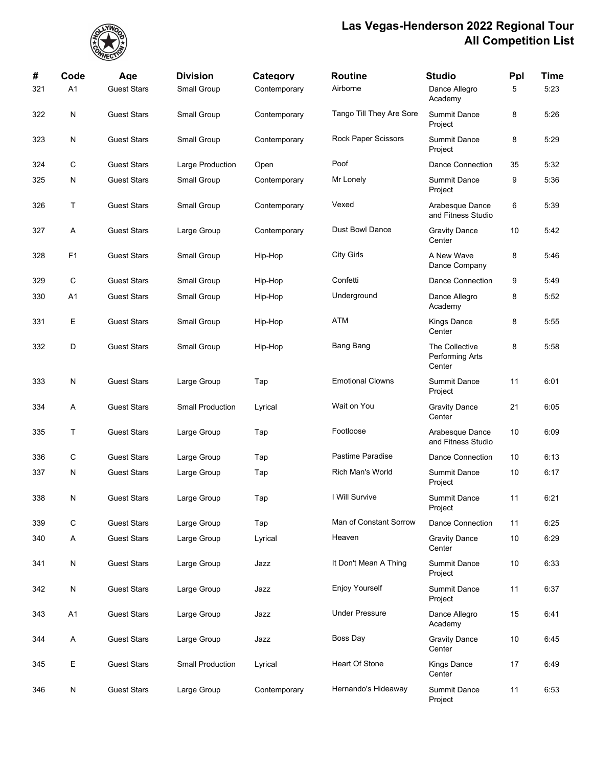

| #   | Code | Age                | <b>Division</b>         | Category     | <b>Routine</b>             | <b>Studio</b>                               | Ppl | <b>Time</b> |
|-----|------|--------------------|-------------------------|--------------|----------------------------|---------------------------------------------|-----|-------------|
| 321 | A1   | <b>Guest Stars</b> | Small Group             | Contemporary | Airborne                   | Dance Allegro<br>Academy                    | 5   | 5:23        |
| 322 | N    | <b>Guest Stars</b> | Small Group             | Contemporary | Tango Till They Are Sore   | <b>Summit Dance</b><br>Project              | 8   | 5:26        |
| 323 | N    | <b>Guest Stars</b> | Small Group             | Contemporary | <b>Rock Paper Scissors</b> | <b>Summit Dance</b><br>Project              | 8   | 5:29        |
| 324 | С    | <b>Guest Stars</b> | Large Production        | Open         | Poof                       | Dance Connection                            | 35  | 5:32        |
| 325 | N    | <b>Guest Stars</b> | Small Group             | Contemporary | Mr Lonely                  | <b>Summit Dance</b><br>Project              | 9   | 5:36        |
| 326 | Т    | <b>Guest Stars</b> | Small Group             | Contemporary | Vexed                      | Arabesque Dance<br>and Fitness Studio       | 6   | 5:39        |
| 327 | Α    | <b>Guest Stars</b> | Large Group             | Contemporary | <b>Dust Bowl Dance</b>     | <b>Gravity Dance</b><br>Center              | 10  | 5:42        |
| 328 | F1   | <b>Guest Stars</b> | Small Group             | Hip-Hop      | <b>City Girls</b>          | A New Wave<br>Dance Company                 | 8   | 5:46        |
| 329 | С    | <b>Guest Stars</b> | Small Group             | Hip-Hop      | Confetti                   | Dance Connection                            | 9   | 5:49        |
| 330 | A1   | <b>Guest Stars</b> | Small Group             | Hip-Hop      | Underground                | Dance Allegro<br>Academy                    | 8   | 5:52        |
| 331 | Е    | <b>Guest Stars</b> | Small Group             | Hip-Hop      | ATM                        | <b>Kings Dance</b><br>Center                | 8   | 5:55        |
| 332 | D    | <b>Guest Stars</b> | Small Group             | Hip-Hop      | <b>Bang Bang</b>           | The Collective<br>Performing Arts<br>Center | 8   | 5:58        |
| 333 | N    | <b>Guest Stars</b> | Large Group             | Tap          | <b>Emotional Clowns</b>    | <b>Summit Dance</b><br>Project              | 11  | 6:01        |
| 334 | Α    | <b>Guest Stars</b> | <b>Small Production</b> | Lyrical      | Wait on You                | <b>Gravity Dance</b><br>Center              | 21  | 6:05        |
| 335 | Т    | <b>Guest Stars</b> | Large Group             | Tap          | Footloose                  | Arabesque Dance<br>and Fitness Studio       | 10  | 6:09        |
| 336 | С    | <b>Guest Stars</b> | Large Group             | Tap          | Pastime Paradise           | Dance Connection                            | 10  | 6:13        |
| 337 | N    | <b>Guest Stars</b> | Large Group             | Tap          | <b>Rich Man's World</b>    | <b>Summit Dance</b><br>Project              | 10  | 6:17        |
| 338 | N    | <b>Guest Stars</b> | Large Group             | Tap          | I Will Survive             | <b>Summit Dance</b><br>Project              | 11  | 6:21        |
| 339 | С    | <b>Guest Stars</b> | Large Group             | Tap          | Man of Constant Sorrow     | Dance Connection                            | 11  | 6:25        |
| 340 | A    | <b>Guest Stars</b> | Large Group             | Lyrical      | Heaven                     | <b>Gravity Dance</b><br>Center              | 10  | 6:29        |
| 341 | N    | <b>Guest Stars</b> | Large Group             | Jazz         | It Don't Mean A Thing      | <b>Summit Dance</b><br>Project              | 10  | 6:33        |
| 342 | N    | <b>Guest Stars</b> | Large Group             | Jazz         | <b>Enjoy Yourself</b>      | <b>Summit Dance</b><br>Project              | 11  | 6:37        |
| 343 | A1   | <b>Guest Stars</b> | Large Group             | Jazz         | <b>Under Pressure</b>      | Dance Allegro<br>Academy                    | 15  | 6:41        |
| 344 | Α    | <b>Guest Stars</b> | Large Group             | Jazz         | Boss Day                   | <b>Gravity Dance</b><br>Center              | 10  | 6:45        |
| 345 | Е    | <b>Guest Stars</b> | <b>Small Production</b> | Lyrical      | Heart Of Stone             | <b>Kings Dance</b><br>Center                | 17  | 6:49        |
| 346 | N    | <b>Guest Stars</b> | Large Group             | Contemporary | Hernando's Hideaway        | <b>Summit Dance</b><br>Project              | 11  | 6:53        |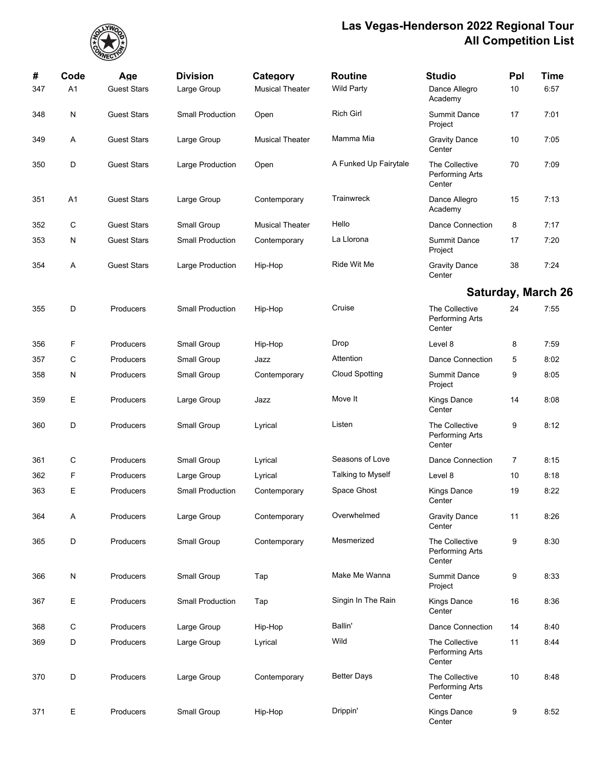

| #   | Code           | Age                | <b>Division</b>         | Category               | <b>Routine</b>        | <b>Studio</b>                               | Ppl | Time                      |
|-----|----------------|--------------------|-------------------------|------------------------|-----------------------|---------------------------------------------|-----|---------------------------|
| 347 | A <sub>1</sub> | <b>Guest Stars</b> | Large Group             | <b>Musical Theater</b> | <b>Wild Party</b>     | Dance Allegro<br>Academy                    | 10  | 6:57                      |
| 348 | N              | <b>Guest Stars</b> | <b>Small Production</b> | Open                   | <b>Rich Girl</b>      | <b>Summit Dance</b><br>Project              | 17  | 7:01                      |
| 349 | A              | <b>Guest Stars</b> | Large Group             | <b>Musical Theater</b> | Mamma Mia             | <b>Gravity Dance</b><br>Center              | 10  | 7:05                      |
| 350 | D              | <b>Guest Stars</b> | Large Production        | Open                   | A Funked Up Fairytale | The Collective<br>Performing Arts<br>Center | 70  | 7:09                      |
| 351 | A1             | <b>Guest Stars</b> | Large Group             | Contemporary           | Trainwreck            | Dance Allegro<br>Academy                    | 15  | 7:13                      |
| 352 | C              | <b>Guest Stars</b> | Small Group             | <b>Musical Theater</b> | Hello                 | <b>Dance Connection</b>                     | 8   | 7:17                      |
| 353 | $\mathsf{N}$   | <b>Guest Stars</b> | <b>Small Production</b> | Contemporary           | La Llorona            | <b>Summit Dance</b><br>Project              | 17  | 7:20                      |
| 354 | Α              | <b>Guest Stars</b> | Large Production        | Hip-Hop                | Ride Wit Me           | <b>Gravity Dance</b><br>Center              | 38  | 7:24                      |
|     |                |                    |                         |                        |                       |                                             |     | <b>Saturday, March 26</b> |
| 355 | D              | Producers          | <b>Small Production</b> | Hip-Hop                | Cruise                | The Collective<br>Performing Arts<br>Center | 24  | 7:55                      |
| 356 | F              | Producers          | Small Group             | Hip-Hop                | Drop                  | Level 8                                     | 8   | 7:59                      |
| 357 | С              | Producers          | Small Group             | Jazz                   | Attention             | Dance Connection                            | 5   | 8:02                      |
| 358 | N              | Producers          | Small Group             | Contemporary           | <b>Cloud Spotting</b> | <b>Summit Dance</b><br>Project              | 9   | 8:05                      |
| 359 | Е              | Producers          | Large Group             | Jazz                   | Move It               | <b>Kings Dance</b><br>Center                | 14  | 8:08                      |
| 360 | D              | Producers          | Small Group             | Lyrical                | Listen                | The Collective<br>Performing Arts<br>Center | 9   | 8:12                      |
| 361 | С              | Producers          | Small Group             | Lyrical                | Seasons of Love       | <b>Dance Connection</b>                     | 7   | 8:15                      |
| 362 | F              | Producers          | Large Group             | Lyrical                | Talking to Myself     | Level 8                                     | 10  | 8:18                      |
| 363 | Е              | Producers          | <b>Small Production</b> | Contemporary           | Space Ghost           | <b>Kings Dance</b><br>Center                | 19  | 8:22                      |
| 364 | Α              | Producers          | Large Group             | Contemporary           | Overwhelmed           | <b>Gravity Dance</b><br>Center              | 11  | 8:26                      |
| 365 | D              | Producers          | Small Group             | Contemporary           | Mesmerized            | The Collective<br>Performing Arts<br>Center | 9   | 8:30                      |
| 366 | N              | Producers          | Small Group             | Tap                    | Make Me Wanna         | <b>Summit Dance</b><br>Project              | 9   | 8:33                      |
| 367 | Е              | Producers          | <b>Small Production</b> | Tap                    | Singin In The Rain    | Kings Dance<br>Center                       | 16  | 8:36                      |
| 368 | С              | Producers          | Large Group             | Hip-Hop                | Ballin'               | Dance Connection                            | 14  | 8:40                      |
| 369 | D              | Producers          | Large Group             | Lyrical                | Wild                  | The Collective<br>Performing Arts<br>Center | 11  | 8:44                      |
| 370 | D              | Producers          | Large Group             | Contemporary           | <b>Better Days</b>    | The Collective<br>Performing Arts<br>Center | 10  | 8:48                      |
| 371 | Е              | Producers          | Small Group             | Hip-Hop                | Drippin'              | <b>Kings Dance</b><br>Center                | 9   | 8:52                      |